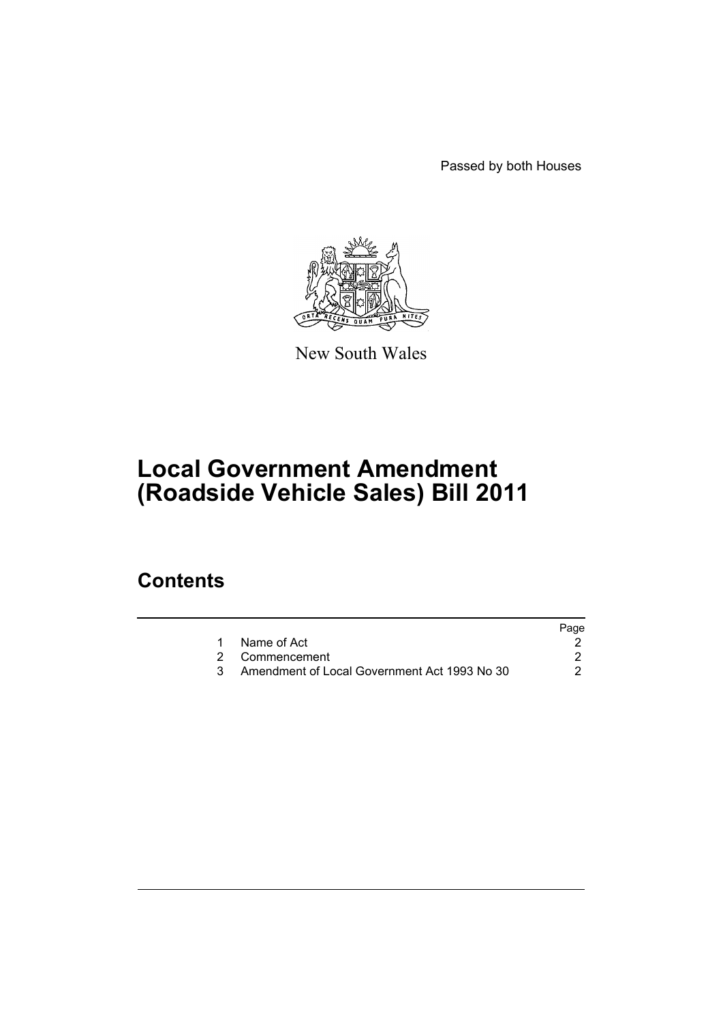Passed by both Houses



New South Wales

# **Local Government Amendment (Roadside Vehicle Sales) Bill 2011**

### **Contents**

|                                              | Page |
|----------------------------------------------|------|
| Name of Act                                  |      |
| 2 Commencement                               |      |
| Amendment of Local Government Act 1993 No 30 |      |
|                                              |      |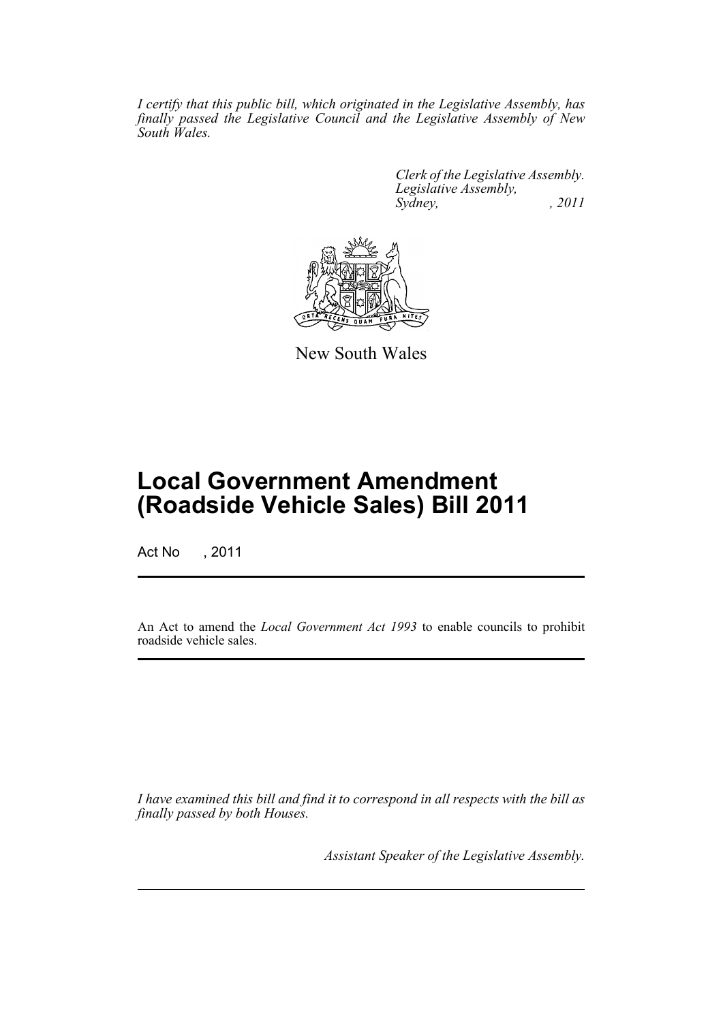*I certify that this public bill, which originated in the Legislative Assembly, has finally passed the Legislative Council and the Legislative Assembly of New South Wales.*

> *Clerk of the Legislative Assembly. Legislative Assembly, Sydney, , 2011*



New South Wales

## **Local Government Amendment (Roadside Vehicle Sales) Bill 2011**

Act No , 2011

An Act to amend the *Local Government Act 1993* to enable councils to prohibit roadside vehicle sales.

*I have examined this bill and find it to correspond in all respects with the bill as finally passed by both Houses.*

*Assistant Speaker of the Legislative Assembly.*